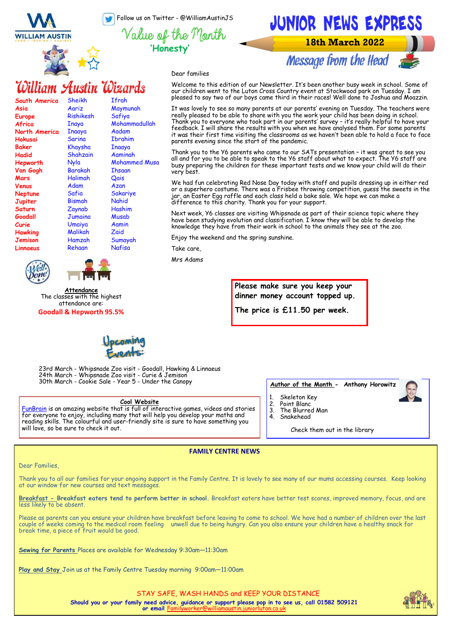Follow us on Twitter - @WilliamAustinJS







**18th March 2022** 

**Message from the Head** 



Dear families

# William Austin Wizards

| South America  | Sheikh         | Ifrah         |
|----------------|----------------|---------------|
| Asia           | Aariz          | Maymunah      |
| <b>Europe</b>  | Rishikesh      | Safiya        |
| Africa         | Inaya          | Mohammadullah |
| North America  | Inaaya         | Aadam         |
| Hokusai        | Sarina         | Ibrahim       |
| <b>Baker</b>   | Khaysha        | Inaaya        |
| Hadid          | Shahzain       | Aaminah       |
| Hepworth       | Nyla           | Mohammed Musa |
| Van Gogh       | <b>Barakah</b> | <b>Thsaan</b> |
| Mars           | Halimah        | Qais          |
| Venus          | Adam           | Azan          |
| <b>Neptune</b> | Safia          | Sakariye      |
| Jupiter        | Bismah         | Nahid         |
| Saturn         | Zaynab         | Hashim        |
| Goodall        | Jumaina        | Musab         |
| Curie          | Umaiya         | Aamin         |
| <b>Hawking</b> | Malikah        | Zaid          |
| <b>Jemison</b> | Hamzah         | Sumayah       |
| Linnaeus       | Rehaan         | Nafisa        |
|                |                |               |

**Attendance** The classes with the highest attendance are: **Goodall & Hepworth 95.5%** Welcome to this edition of our Newsletter. It's been another busy week in school. Some of our children went to the Luton Cross Country event at Stockwood<sup>'</sup>park on Tuesday. I am pleased to say two of our boys came third in their races! Well done to Joshua and Moazzin.

It was lovely to see so many parents at our parents' evening on Tuesday. The teachers were really pleased to be able to share with you the work your child has been doing in school. Thank you to everyone who took part in our parents' survey – it's really helpful to have your feedback. I will share the results with you when we have analysed them. For some parents it was their first time visiting the classrooms as we haven't been able to hold a face to face parents evening since the start of the pandemic.

Thank you to the Y6 parents who came to our SATs presentation – it was great to see you all and for you to be able to speak to the Y6 staff about what to expect. The Y6 staff are busy preparing the children for these important tests and we know your child will do their very best.

We had fun celebrating Red Nose Day today with staff and pupils dressing up in either red or a superhero costume. There was a Frisbee throwing competition, guess the sweets in the jar, an Easter Egg raffle and each class held a bake sale. We hope we can make a difference to this charity. Thank you for your support.

Next week, Y6 classes are visiting Whipsnade as part of their science topic where they have been studying evolution and classification. I know they will be able to develop the knowledge they have from their work in school to the animals they see at the zoo.

Enjoy the weekend and the spring sunshine.

Take care,

Mrs Adams

**Please make sure you keep your dinner money account topped up.** 

**The price is £11.50 per week.**



23rd March - Whipsnade Zoo visit - Goodall, Hawking & Linnaeus 24th March - Whipsnade Zoo visit - Curie & Jemison 30th March - Cookie Sale - Year 5 - Under the Canopy

#### **Cool Website**

[FunBrain i](https://www.funbrain.com/)s an amazing website that is full of interactive games, videos and stories for everyone to enjoy, including many that will help you develop your maths and reading skills. The colourful and user-friendly site is sure to have something you will love, so be sure to check it out.

#### **Author of the Month - Anthony Horowitz**

- Skeleton Key
- 
- 2. Point Blanc
- 3. The Blurred Man
- 4. Snakehead

Check them out in the library

#### Dear Families,

Thank you to all our families for your ongoing support in the Family Centre. It is lovely to see many of our mums accessing courses. Keep looking at our window for new courses and text messages.

**FAMILY CENTRE NEWS**

**Breakfast - Breakfast eaters tend to perform better in school.** Breakfast eaters have better test scores, improved memory, focus, and are less likely to be absent.

Please as parents can you ensure your children have breakfast before leaving to come to school. We have had a number of children over the last couple of weeks coming to the medical room feeling unwell due to being hungry. Can you also ensure your children have a healthy snack for break time, a piece of fruit would be good.

**Sewing for Parents** Places are available for Wednesday 9:30am—11:30am

**Play and Stay** Join us at the Family Centre Tuesday morning 9:00am—11:00am



STAY SAFE, WASH HANDS and KEEP YOUR DISTANCE **Should you or your family need advice, guidance or support please pop in to see us, call 01582 509121 or email** Fa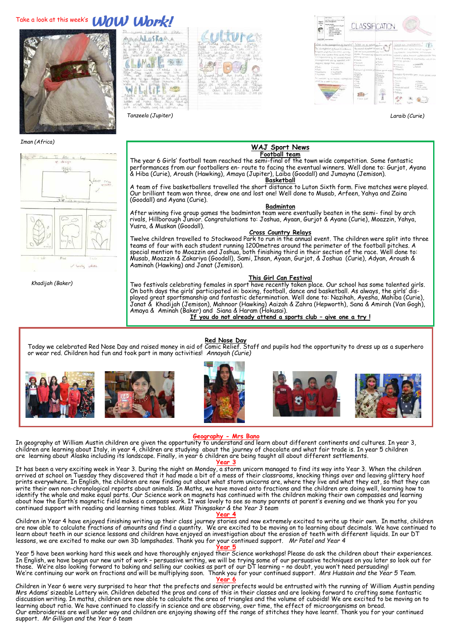# Take a look at this week's **WOW Work!**



*<u>Laskar</u>* 





*Tanzeela (Jupiter) Laraib (Curie)*

*Iman (Africa)*



*Khadijah (Baker)*

#### **WAJ Sport News Football team**

The year 6 Girls' football team reached the semi-final of the town wide competition. Some fantastic performances from our footballers en- route to facing the eventual winners. Well done to: Gurjot, Ayana & Hiba (Curie), Aroush (Hawking), Amaya (Jupiter), Laiba (Goodall) and Jumayna (Jemison). **Basketball** 

A team of five basketballers travelled the short distance to Luton Sixth form. Five matches were played. Our brilliant team won three, drew one and lost one! Well done to Musab, Arfeen, Yahya and Zaina (Goodall) and Ayana (Curie).

#### **Badminton**<br>After winning five group games the badminton team were eventually beaten in the semi- final by arch rivals, Hillborough Junior. Congratulations to: Joshua, Ayaan, Gurjot & Ayana (Curie), Moazzin, Yahya, Yusra, & Muskan (Goodall).

**Cross Country Relays**  Twelve children travelled to Stockwood Park to run in the annual event. The children were split into three teams of four with each student running 1200metres around the perimeter of the football pitches. A special mention to Moazzin and Joshua, both finishing third in their section of the race. Well done to: Musab, Moazzin & Zakariya (Goodall), Sami, Ihsan, Ayaan, Gurjot, & Joshua (Curie), Adyan, Aroush & Aaminah (Hawking) and Janat (Jemison).

#### **This Girl Can Festival**

Two festivals celebrating females in sport have recently taken place. Our school has some talented girls. On both days the girls' participated in: boxing, football, dance and basketball. As always, the girls' displayed great sportsmanship and fantastic determination. Well done to: Nazihah, Ayesha, Mahiba (Curie), Janat & Khadijah (Jemison), Mahnoor (Hawking) Aaizah & Zahra (Hepworth), Sana & Amirah (Van Gogh), Amaya & Aminah (Baker) and Siana & Haram (Hokusai).

**If you do not already attend a sports club – give one a try !**













#### **Geography - Mrs Bano**

In geography at William Austin children are given the opportunity to understand and learn about different continents and cultures. In year 3, children are learning about Italy, in year 4, children are studying about the journey of chocolate and what fair trade is. In year 5 children are learning about Alaska including its landscape. Finally, in year 6 children are being taught all about different settlements.

#### **Year 3**

It has been a very exciting week in Year 3. During the night on Monday, a storm unicorn managed to find its way into Year 3. When the children arrived at school on Tuesday they discovered that it had made a bit of a mess of their classrooms, knocking things over and leaving glittery hoof prints everywhere. In English, the children are now finding out about what storm unicorns are, where they live and what they eat, so that they can write their own non-chronological reports about animals. In Maths, we have moved onto fractions and the children are doing well, learning how to identify the whole and make equal parts. Our Science work on magnets has continued with the children making their own compasses and learning about how the Earth's magnetic field makes a compass work. It was lovely to see so many parents at parent's evening and we thank you for you continued support with reading and learning times tables. *Miss Thingsaker & the Year 3 team*

**Year 4**

Children in Year 4 have enjoyed finishing writing up their class journey stories and now extremely excited to write up their own. In maths, children are now able to calculate fractions of amounts and find a quantity. We are excited to be moving on to learning about decimals. We have continued to learn about teeth in our science lessons and children have enjoyed an investigation about the erosion of teeth with different liquids. In our DT lessons, we are excited to make our own 3D lampshades. Thank you for your continued support. *Mr Patel and Year 4* 

**Year 5**

Year 5 have been working hard this week and have thoroughly enjoyed their Science workshops! Please do ask the children about their experiences. In English, we have begun our new unit of work – persuasive writing, we will be trying some of our persuasive techniques on you later so look out for those. We're also looking forward to baking and selling our cookies as part of our DT learning – no doubt, you won't need persuading! We're continuing our work on fractions and will be multiplying soon. Thank you for your continued support. *Mrs Hussain and the Year 5 Team.*

#### **Year 6**

Children in Year 6 were very surprised to hear that the prefects and senior prefects would be entrusted with the running of William Austin pending Mrs Adams' sizeable Lottery win. Children debated the pros and cons of this in their classes and are looking forward to crafting some fantastic discussion writing. In maths, children are now able to calculate the area of triangles and the volume of cuboids! We are excited to be moving on to learning about ratio. We have continued to classify in science and are observing, over time, the effect of microorganisms on bread. Our embroideries are well under way and children are enjoying showing off the range of stitches they have learnt. Thank you for your continued support. *Mr Gilligan and the Year 6 team*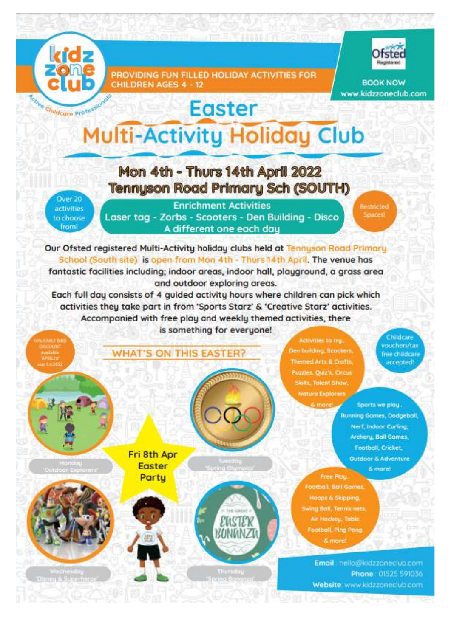